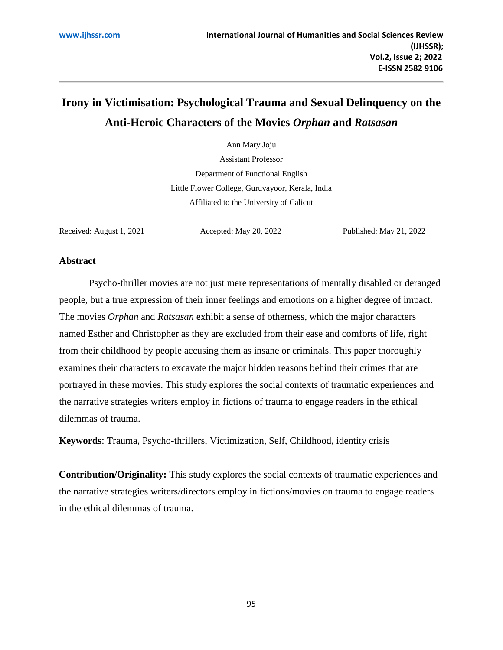# **Irony in Victimisation: Psychological Trauma and Sexual Delinquency on the Anti-Heroic Characters of the Movies** *Orphan* **and** *Ratsasan*

Ann Mary Joju

Assistant Professor Department of Functional English Little Flower College, Guruvayoor, Kerala, India Affiliated to the University of Calicut

Received: August 1, 2021 Accepted: May 20, 2022 Published: May 21, 2022

#### **Abstract**

Psycho-thriller movies are not just mere representations of mentally disabled or deranged people, but a true expression of their inner feelings and emotions on a higher degree of impact. The movies *Orphan* and *Ratsasan* exhibit a sense of otherness, which the major characters named Esther and Christopher as they are excluded from their ease and comforts of life, right from their childhood by people accusing them as insane or criminals. This paper thoroughly examines their characters to excavate the major hidden reasons behind their crimes that are portrayed in these movies. This study explores the social contexts of traumatic experiences and the narrative strategies writers employ in fictions of trauma to engage readers in the ethical dilemmas of trauma.

**Keywords**: Trauma, Psycho-thrillers, Victimization, Self, Childhood, identity crisis

**Contribution/Originality:** This study explores the social contexts of traumatic experiences and the narrative strategies writers/directors employ in fictions/movies on trauma to engage readers in the ethical dilemmas of trauma.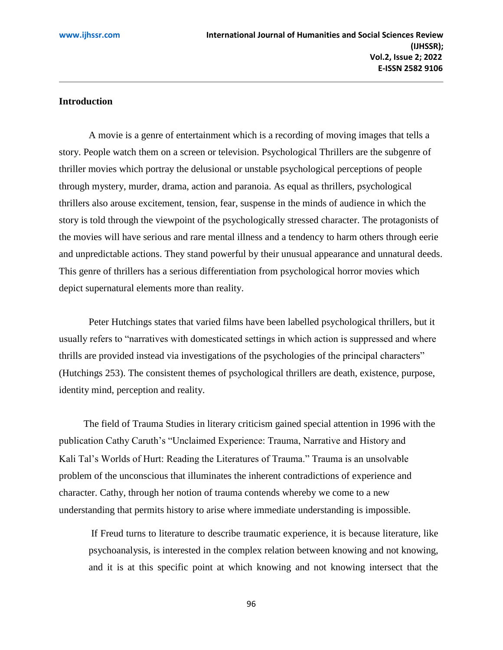### **Introduction**

A movie is a genre of entertainment which is a recording of moving images that tells a story. People watch them on a screen or television. Psychological Thrillers are the subgenre of thriller movies which portray the delusional or unstable psychological perceptions of people through mystery, murder, drama, action and paranoia. As equal as thrillers, psychological thrillers also arouse excitement, tension, fear, suspense in the minds of audience in which the story is told through the viewpoint of the psychologically stressed character. The protagonists of the movies will have serious and rare mental illness and a tendency to harm others through eerie and unpredictable actions. They stand powerful by their unusual appearance and unnatural deeds. This genre of thrillers has a serious differentiation from psychological horror movies which depict supernatural elements more than reality.

Peter Hutchings states that varied films have been labelled psychological thrillers, but it usually refers to "narratives with domesticated settings in which action is suppressed and where thrills are provided instead via investigations of the psychologies of the principal characters" (Hutchings 253). The consistent themes of psychological thrillers are death, existence, purpose, identity mind, perception and reality.

 The field of Trauma Studies in literary criticism gained special attention in 1996 with the publication Cathy Caruth's "Unclaimed Experience: Trauma, Narrative and History and Kali Tal's Worlds of Hurt: Reading the Literatures of Trauma." Trauma is an unsolvable problem of the unconscious that illuminates the inherent contradictions of experience and character. Cathy, through her notion of trauma contends whereby we come to a new understanding that permits history to arise where immediate understanding is impossible.

If Freud turns to literature to describe traumatic experience, it is because literature, like psychoanalysis, is interested in the complex relation between knowing and not knowing, and it is at this specific point at which knowing and not knowing intersect that the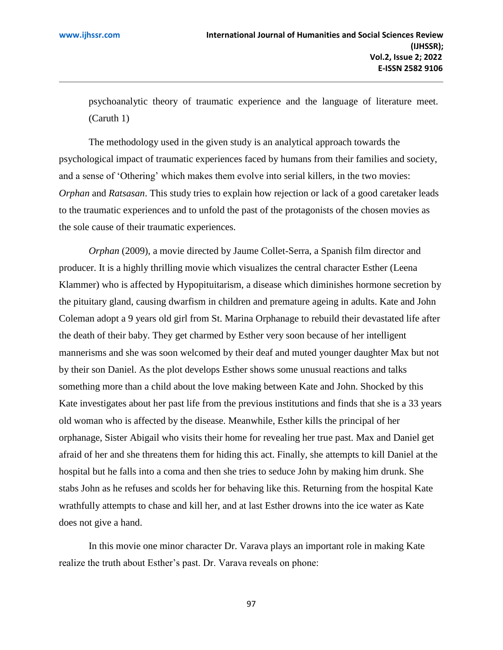psychoanalytic theory of traumatic experience and the language of literature meet. (Caruth 1)

The methodology used in the given study is an analytical approach towards the psychological impact of traumatic experiences faced by humans from their families and society, and a sense of 'Othering' which makes them evolve into serial killers, in the two movies: *Orphan* and *Ratsasan*. This study tries to explain how rejection or lack of a good caretaker leads to the traumatic experiences and to unfold the past of the protagonists of the chosen movies as the sole cause of their traumatic experiences.

*Orphan* (2009), a movie directed by Jaume Collet-Serra, a Spanish film director and producer. It is a highly thrilling movie which visualizes the central character Esther (Leena Klammer) who is affected by Hypopituitarism, a disease which diminishes hormone secretion by the pituitary gland, causing dwarfism in children and premature ageing in adults. Kate and John Coleman adopt a 9 years old girl from St. Marina Orphanage to rebuild their devastated life after the death of their baby. They get charmed by Esther very soon because of her intelligent mannerisms and she was soon welcomed by their deaf and muted younger daughter Max but not by their son Daniel. As the plot develops Esther shows some unusual reactions and talks something more than a child about the love making between Kate and John. Shocked by this Kate investigates about her past life from the previous institutions and finds that she is a 33 years old woman who is affected by the disease. Meanwhile, Esther kills the principal of her orphanage, Sister Abigail who visits their home for revealing her true past. Max and Daniel get afraid of her and she threatens them for hiding this act. Finally, she attempts to kill Daniel at the hospital but he falls into a coma and then she tries to seduce John by making him drunk. She stabs John as he refuses and scolds her for behaving like this. Returning from the hospital Kate wrathfully attempts to chase and kill her, and at last Esther drowns into the ice water as Kate does not give a hand.

In this movie one minor character Dr. Varava plays an important role in making Kate realize the truth about Esther's past. Dr. Varava reveals on phone: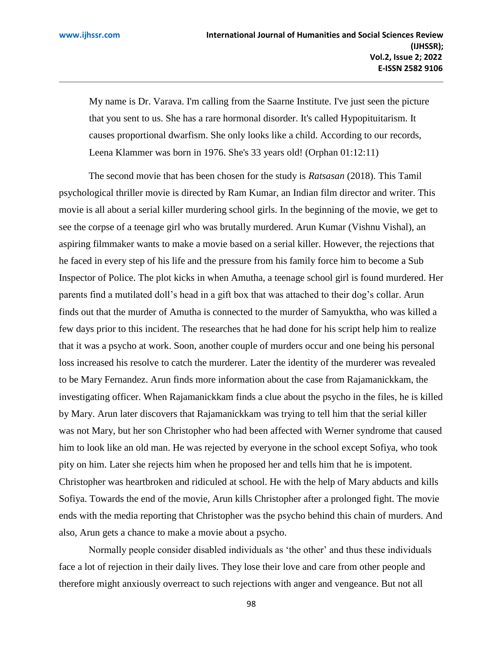My name is Dr. Varava. I'm calling from the Saarne Institute. I've just seen the picture that you sent to us. She has a rare hormonal disorder. It's called Hypopituitarism. It causes proportional dwarfism. She only looks like a child. According to our records, Leena Klammer was born in 1976. She's 33 years old! (Orphan 01:12:11)

The second movie that has been chosen for the study is *Ratsasan* (2018). This Tamil psychological thriller movie is directed by Ram Kumar, an Indian film director and writer. This movie is all about a serial killer murdering school girls. In the beginning of the movie, we get to see the corpse of a teenage girl who was brutally murdered. Arun Kumar (Vishnu Vishal), an aspiring filmmaker wants to make a movie based on a serial killer. However, the rejections that he faced in every step of his life and the pressure from his family force him to become a Sub Inspector of Police. The plot kicks in when Amutha, a teenage school girl is found murdered. Her parents find a mutilated doll's head in a gift box that was attached to their dog's collar. Arun finds out that the murder of Amutha is connected to the murder of Samyuktha, who was killed a few days prior to this incident. The researches that he had done for his script help him to realize that it was a psycho at work. Soon, another couple of murders occur and one being his personal loss increased his resolve to catch the murderer. Later the identity of the murderer was revealed to be Mary Fernandez. Arun finds more information about the case from Rajamanickkam, the investigating officer. When Rajamanickkam finds a clue about the psycho in the files, he is killed by Mary. Arun later discovers that Rajamanickkam was trying to tell him that the serial killer was not Mary, but her son Christopher who had been affected with Werner syndrome that caused him to look like an old man. He was rejected by everyone in the school except Sofiya, who took pity on him. Later she rejects him when he proposed her and tells him that he is impotent. Christopher was heartbroken and ridiculed at school. He with the help of Mary abducts and kills Sofiya. Towards the end of the movie, Arun kills Christopher after a prolonged fight. The movie ends with the media reporting that Christopher was the psycho behind this chain of murders. And also, Arun gets a chance to make a movie about a psycho.

Normally people consider disabled individuals as 'the other' and thus these individuals face a lot of rejection in their daily lives. They lose their love and care from other people and therefore might anxiously overreact to such rejections with anger and vengeance. But not all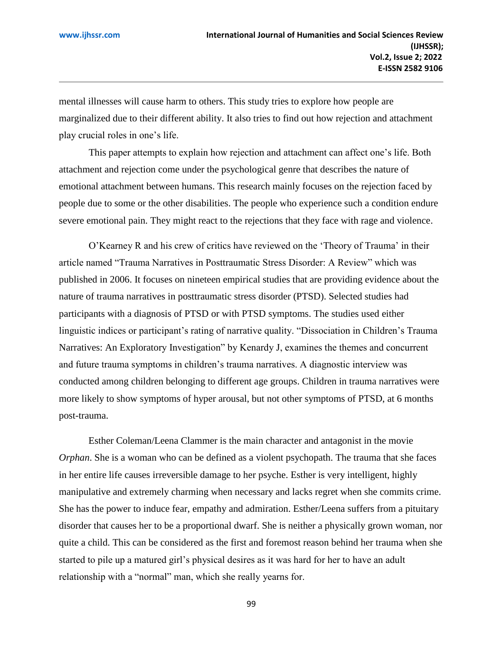mental illnesses will cause harm to others. This study tries to explore how people are marginalized due to their different ability. It also tries to find out how rejection and attachment play crucial roles in one's life.

This paper attempts to explain how rejection and attachment can affect one's life. Both attachment and rejection come under the psychological genre that describes the nature of emotional attachment between humans. This research mainly focuses on the rejection faced by people due to some or the other disabilities. The people who experience such a condition endure severe emotional pain. They might react to the rejections that they face with rage and violence.

O'Kearney R and his crew of critics have reviewed on the 'Theory of Trauma' in their article named "Trauma Narratives in Posttraumatic Stress Disorder: A Review" which was published in 2006. It focuses on nineteen empirical studies that are providing evidence about the nature of trauma narratives in posttraumatic stress disorder (PTSD). Selected studies had participants with a diagnosis of PTSD or with PTSD symptoms. The studies used either linguistic indices or participant's rating of narrative quality. "Dissociation in Children's Trauma Narratives: An Exploratory Investigation" by Kenardy J, examines the themes and concurrent and future trauma symptoms in children's trauma narratives. A diagnostic interview was conducted among children belonging to different age groups. Children in trauma narratives were more likely to show symptoms of hyper arousal, but not other symptoms of PTSD, at 6 months post-trauma.

 Esther Coleman/Leena Clammer is the main character and antagonist in the movie *Orphan*. She is a woman who can be defined as a violent psychopath. The trauma that she faces in her entire life causes irreversible damage to her psyche. Esther is very intelligent, highly manipulative and extremely charming when necessary and lacks regret when she commits crime. She has the power to induce fear, empathy and admiration. Esther/Leena suffers from a pituitary disorder that causes her to be a proportional dwarf. She is neither a physically grown woman, nor quite a child. This can be considered as the first and foremost reason behind her trauma when she started to pile up a matured girl's physical desires as it was hard for her to have an adult relationship with a "normal" man, which she really yearns for.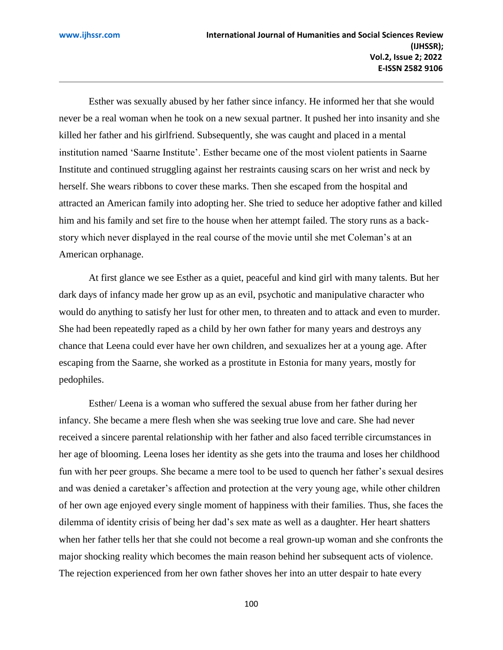Esther was sexually abused by her father since infancy. He informed her that she would never be a real woman when he took on a new sexual partner. It pushed her into insanity and she killed her father and his girlfriend. Subsequently, she was caught and placed in a mental institution named 'Saarne Institute'. Esther became one of the most violent patients in Saarne Institute and continued struggling against her restraints causing scars on her wrist and neck by herself. She wears ribbons to cover these marks. Then she escaped from the hospital and attracted an American family into adopting her. She tried to seduce her adoptive father and killed him and his family and set fire to the house when her attempt failed. The story runs as a backstory which never displayed in the real course of the movie until she met Coleman's at an American orphanage.

At first glance we see Esther as a quiet, peaceful and kind girl with many talents. But her dark days of infancy made her grow up as an evil, psychotic and manipulative character who would do anything to satisfy her lust for other men, to threaten and to attack and even to murder. She had been repeatedly raped as a child by her own father for many years and destroys any chance that Leena could ever have her own children, and sexualizes her at a young age. After escaping from the Saarne, she worked as a prostitute in Estonia for many years, mostly for pedophiles.

Esther/ Leena is a woman who suffered the sexual abuse from her father during her infancy. She became a mere flesh when she was seeking true love and care. She had never received a sincere parental relationship with her father and also faced terrible circumstances in her age of blooming. Leena loses her identity as she gets into the trauma and loses her childhood fun with her peer groups. She became a mere tool to be used to quench her father's sexual desires and was denied a caretaker's affection and protection at the very young age, while other children of her own age enjoyed every single moment of happiness with their families. Thus, she faces the dilemma of identity crisis of being her dad's sex mate as well as a daughter. Her heart shatters when her father tells her that she could not become a real grown-up woman and she confronts the major shocking reality which becomes the main reason behind her subsequent acts of violence. The rejection experienced from her own father shoves her into an utter despair to hate every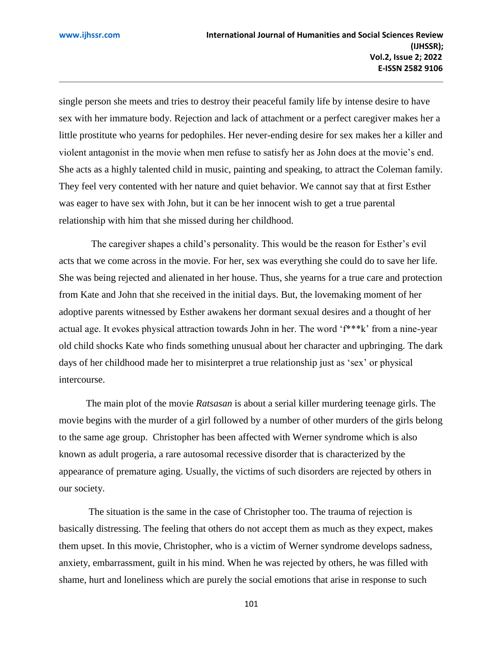single person she meets and tries to destroy their peaceful family life by intense desire to have sex with her immature body. Rejection and lack of attachment or a perfect caregiver makes her a little prostitute who yearns for pedophiles. Her never-ending desire for sex makes her a killer and violent antagonist in the movie when men refuse to satisfy her as John does at the movie's end. She acts as a highly talented child in music, painting and speaking, to attract the Coleman family. They feel very contented with her nature and quiet behavior. We cannot say that at first Esther was eager to have sex with John, but it can be her innocent wish to get a true parental relationship with him that she missed during her childhood.

The caregiver shapes a child's personality. This would be the reason for Esther's evil acts that we come across in the movie. For her, sex was everything she could do to save her life. She was being rejected and alienated in her house. Thus, she yearns for a true care and protection from Kate and John that she received in the initial days. But, the lovemaking moment of her adoptive parents witnessed by Esther awakens her dormant sexual desires and a thought of her actual age. It evokes physical attraction towards John in her. The word 'f\*\*\*k' from a nine-year old child shocks Kate who finds something unusual about her character and upbringing. The dark days of her childhood made her to misinterpret a true relationship just as 'sex' or physical intercourse.

 The main plot of the movie *Ratsasan* is about a serial killer murdering teenage girls. The movie begins with the murder of a girl followed by a number of other murders of the girls belong to the same age group. Christopher has been affected with Werner syndrome which is also known as adult progeria, a rare autosomal recessive disorder that is characterized by the appearance of premature aging. Usually, the victims of such disorders are rejected by others in our society.

The situation is the same in the case of Christopher too. The trauma of rejection is basically distressing. The feeling that others do not accept them as much as they expect, makes them upset. In this movie, Christopher, who is a victim of Werner syndrome develops sadness, anxiety, embarrassment, guilt in his mind. When he was rejected by others, he was filled with shame, hurt and loneliness which are purely the social emotions that arise in response to such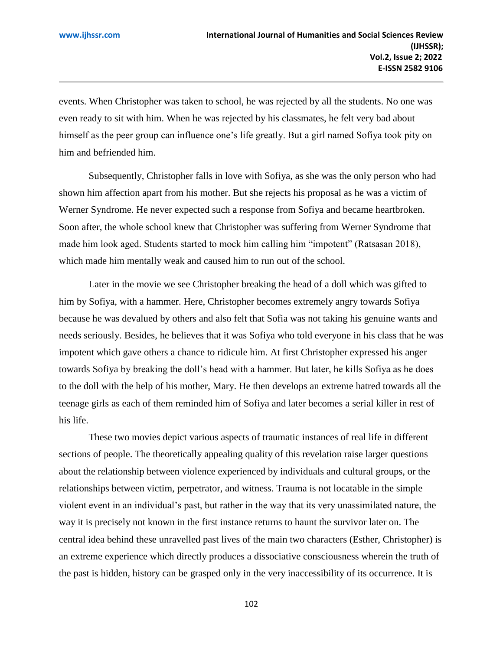events. When Christopher was taken to school, he was rejected by all the students. No one was even ready to sit with him. When he was rejected by his classmates, he felt very bad about himself as the peer group can influence one's life greatly. But a girl named Sofiya took pity on him and befriended him.

Subsequently, Christopher falls in love with Sofiya, as she was the only person who had shown him affection apart from his mother. But she rejects his proposal as he was a victim of Werner Syndrome. He never expected such a response from Sofiya and became heartbroken. Soon after, the whole school knew that Christopher was suffering from Werner Syndrome that made him look aged. Students started to mock him calling him "impotent" (Ratsasan 2018), which made him mentally weak and caused him to run out of the school.

Later in the movie we see Christopher breaking the head of a doll which was gifted to him by Sofiya, with a hammer. Here, Christopher becomes extremely angry towards Sofiya because he was devalued by others and also felt that Sofia was not taking his genuine wants and needs seriously. Besides, he believes that it was Sofiya who told everyone in his class that he was impotent which gave others a chance to ridicule him. At first Christopher expressed his anger towards Sofiya by breaking the doll's head with a hammer. But later, he kills Sofiya as he does to the doll with the help of his mother, Mary. He then develops an extreme hatred towards all the teenage girls as each of them reminded him of Sofiya and later becomes a serial killer in rest of his life.

These two movies depict various aspects of traumatic instances of real life in different sections of people. The theoretically appealing quality of this revelation raise larger questions about the relationship between violence experienced by individuals and cultural groups, or the relationships between victim, perpetrator, and witness. Trauma is not locatable in the simple violent event in an individual's past, but rather in the way that its very unassimilated nature, the way it is precisely not known in the first instance returns to haunt the survivor later on. The central idea behind these unravelled past lives of the main two characters (Esther, Christopher) is an extreme experience which directly produces a dissociative consciousness wherein the truth of the past is hidden, history can be grasped only in the very inaccessibility of its occurrence. It is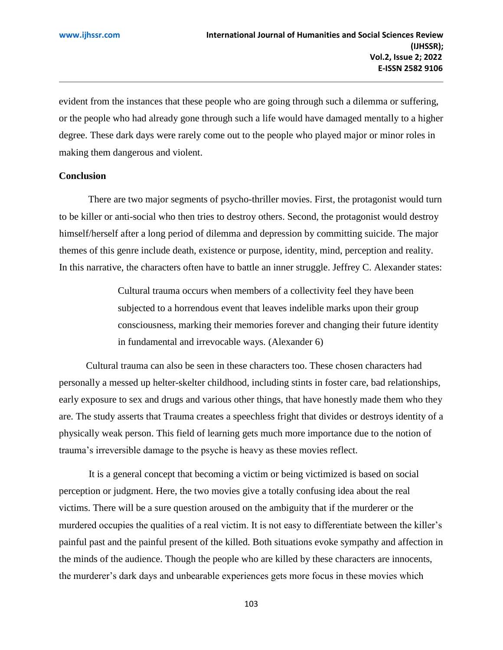evident from the instances that these people who are going through such a dilemma or suffering, or the people who had already gone through such a life would have damaged mentally to a higher degree. These dark days were rarely come out to the people who played major or minor roles in making them dangerous and violent.

#### **Conclusion**

There are two major segments of psycho-thriller movies. First, the protagonist would turn to be killer or anti-social who then tries to destroy others. Second, the protagonist would destroy himself/herself after a long period of dilemma and depression by committing suicide. The major themes of this genre include death, existence or purpose, identity, mind, perception and reality. In this narrative, the characters often have to battle an inner struggle. Jeffrey C. Alexander states:

> Cultural trauma occurs when members of a collectivity feel they have been subjected to a horrendous event that leaves indelible marks upon their group consciousness, marking their memories forever and changing their future identity in fundamental and irrevocable ways. (Alexander 6)

 Cultural trauma can also be seen in these characters too. These chosen characters had personally a messed up helter-skelter childhood, including stints in foster care, bad relationships, early exposure to sex and drugs and various other things, that have honestly made them who they are. The study asserts that Trauma creates a speechless fright that divides or destroys identity of a physically weak person. This field of learning gets much more importance due to the notion of trauma's irreversible damage to the psyche is heavy as these movies reflect.

It is a general concept that becoming a victim or being victimized is based on social perception or judgment. Here, the two movies give a totally confusing idea about the real victims. There will be a sure question aroused on the ambiguity that if the murderer or the murdered occupies the qualities of a real victim. It is not easy to differentiate between the killer's painful past and the painful present of the killed. Both situations evoke sympathy and affection in the minds of the audience. Though the people who are killed by these characters are innocents, the murderer's dark days and unbearable experiences gets more focus in these movies which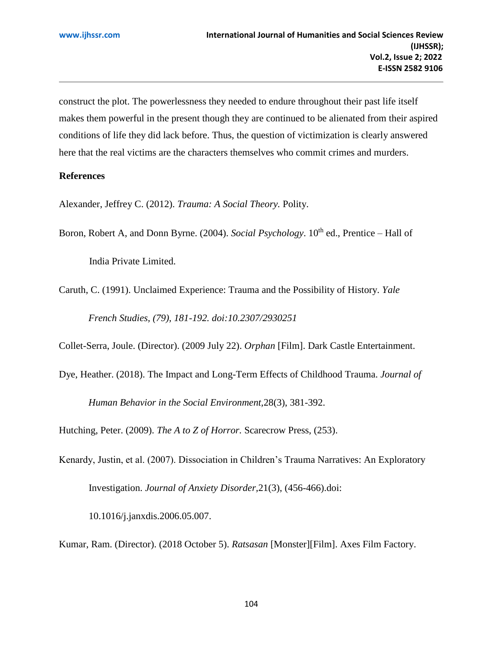construct the plot. The powerlessness they needed to endure throughout their past life itself makes them powerful in the present though they are continued to be alienated from their aspired conditions of life they did lack before. Thus, the question of victimization is clearly answered here that the real victims are the characters themselves who commit crimes and murders.

## **References**

Alexander, Jeffrey C. (2012). *Trauma: A Social Theory.* Polity.

Boron, Robert A, and Donn Byrne. (2004). *Social Psychology*. 10<sup>th</sup> ed., Prentice – Hall of India Private Limited.

Caruth, C. (1991). Unclaimed Experience: Trauma and the Possibility of History. *Yale French Studies, (79), 181-192. doi:10.2307/2930251*

Collet-Serra, Joule. (Director). (2009 July 22). *Orphan* [Film]. Dark Castle Entertainment.

Dye, Heather. (2018). The Impact and Long-Term Effects of Childhood Trauma. *Journal of Human Behavior in the Social Environment,*28(3), 381-392.

Hutching, Peter. (2009). *The A to Z of Horror.* Scarecrow Press, (253).

Kenardy, Justin, et al. (2007). Dissociation in Children's Trauma Narratives: An Exploratory Investigation. *Journal of Anxiety Disorder,*21(3), (456-466).doi:

10.1016/j.janxdis.2006.05.007.

Kumar, Ram. (Director). (2018 October 5). *Ratsasan* [Monster][Film]. Axes Film Factory.